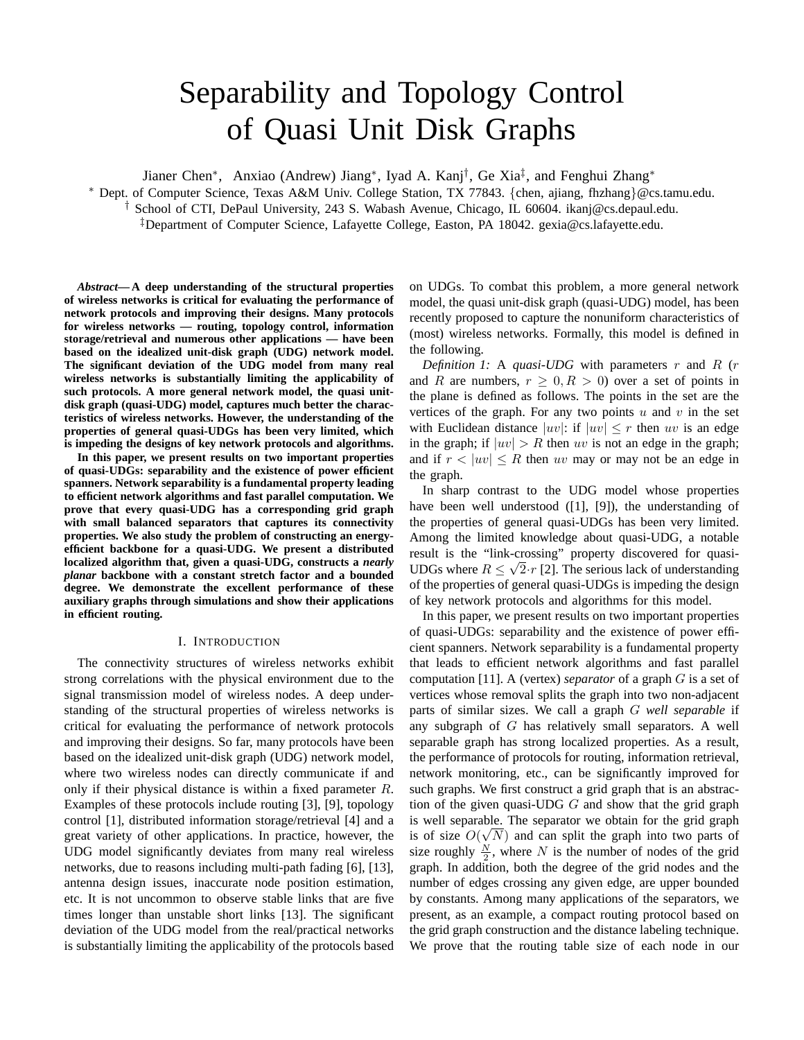# Separability and Topology Control of Quasi Unit Disk Graphs

Jianer Chen<sup>∗</sup> , Anxiao (Andrew) Jiang<sup>∗</sup> , Iyad A. Kanj† , Ge Xia‡ , and Fenghui Zhang<sup>∗</sup>

<sup>∗</sup> Dept. of Computer Science, Texas A&M Univ. College Station, TX 77843. {chen, ajiang, fhzhang}@cs.tamu.edu.

† School of CTI, DePaul University, 243 S. Wabash Avenue, Chicago, IL 60604. ikanj@cs.depaul.edu.

‡Department of Computer Science, Lafayette College, Easton, PA 18042. gexia@cs.lafayette.edu.

*Abstract***— A deep understanding of the structural properties of wireless networks is critical for evaluating the performance of network protocols and improving their designs. Many protocols for wireless networks — routing, topology control, information storage/retrieval and numerous other applications — have been based on the idealized unit-disk graph (UDG) network model. The significant deviation of the UDG model from many real wireless networks is substantially limiting the applicability of such protocols. A more general network model, the quasi unitdisk graph (quasi-UDG) model, captures much better the characteristics of wireless networks. However, the understanding of the properties of general quasi-UDGs has been very limited, which is impeding the designs of key network protocols and algorithms.**

**In this paper, we present results on two important properties of quasi-UDGs: separability and the existence of power efficient spanners. Network separability is a fundamental property leading to efficient network algorithms and fast parallel computation. We prove that every quasi-UDG has a corresponding grid graph with small balanced separators that captures its connectivity properties. We also study the problem of constructing an energyefficient backbone for a quasi-UDG. We present a distributed localized algorithm that, given a quasi-UDG, constructs a** *nearly planar* **backbone with a constant stretch factor and a bounded degree. We demonstrate the excellent performance of these auxiliary graphs through simulations and show their applications in efficient routing.**

#### I. INTRODUCTION

The connectivity structures of wireless networks exhibit strong correlations with the physical environment due to the signal transmission model of wireless nodes. A deep understanding of the structural properties of wireless networks is critical for evaluating the performance of network protocols and improving their designs. So far, many protocols have been based on the idealized unit-disk graph (UDG) network model, where two wireless nodes can directly communicate if and only if their physical distance is within a fixed parameter R. Examples of these protocols include routing [3], [9], topology control [1], distributed information storage/retrieval [4] and a great variety of other applications. In practice, however, the UDG model significantly deviates from many real wireless networks, due to reasons including multi-path fading [6], [13], antenna design issues, inaccurate node position estimation, etc. It is not uncommon to observe stable links that are five times longer than unstable short links [13]. The significant deviation of the UDG model from the real/practical networks is substantially limiting the applicability of the protocols based

on UDGs. To combat this problem, a more general network model, the quasi unit-disk graph (quasi-UDG) model, has been recently proposed to capture the nonuniform characteristics of (most) wireless networks. Formally, this model is defined in the following.

*Definition 1:* A *quasi-UDG* with parameters  $r$  and  $R$  ( $r$ and R are numbers,  $r \geq 0, R > 0$  over a set of points in the plane is defined as follows. The points in the set are the vertices of the graph. For any two points  $u$  and  $v$  in the set with Euclidean distance  $|uv|$ : if  $|uv| \leq r$  then uv is an edge in the graph; if  $|uv| > R$  then uv is not an edge in the graph; and if  $r < |uv| \le R$  then uv may or may not be an edge in the graph.

In sharp contrast to the UDG model whose properties have been well understood ([1], [9]), the understanding of the properties of general quasi-UDGs has been very limited. Among the limited knowledge about quasi-UDG, a notable result is the "link-crossing" property discovered for quasi-UDGs where  $R \leq \sqrt{2} \cdot r$  [2]. The serious lack of understanding of the properties of general quasi-UDGs is impeding the design of key network protocols and algorithms for this model.

In this paper, we present results on two important properties of quasi-UDGs: separability and the existence of power efficient spanners. Network separability is a fundamental property that leads to efficient network algorithms and fast parallel computation [11]. A (vertex) *separator* of a graph G is a set of vertices whose removal splits the graph into two non-adjacent parts of similar sizes. We call a graph G *well separable* if any subgraph of G has relatively small separators. A well separable graph has strong localized properties. As a result, the performance of protocols for routing, information retrieval, network monitoring, etc., can be significantly improved for such graphs. We first construct a grid graph that is an abstraction of the given quasi-UDG  $G$  and show that the grid graph is well separable. The separator we obtain for the grid graph is of size  $O(\sqrt{N})$  and can split the graph into two parts of size roughly  $\frac{N}{2}$ , where N is the number of nodes of the grid graph. In addition, both the degree of the grid nodes and the number of edges crossing any given edge, are upper bounded by constants. Among many applications of the separators, we present, as an example, a compact routing protocol based on the grid graph construction and the distance labeling technique. We prove that the routing table size of each node in our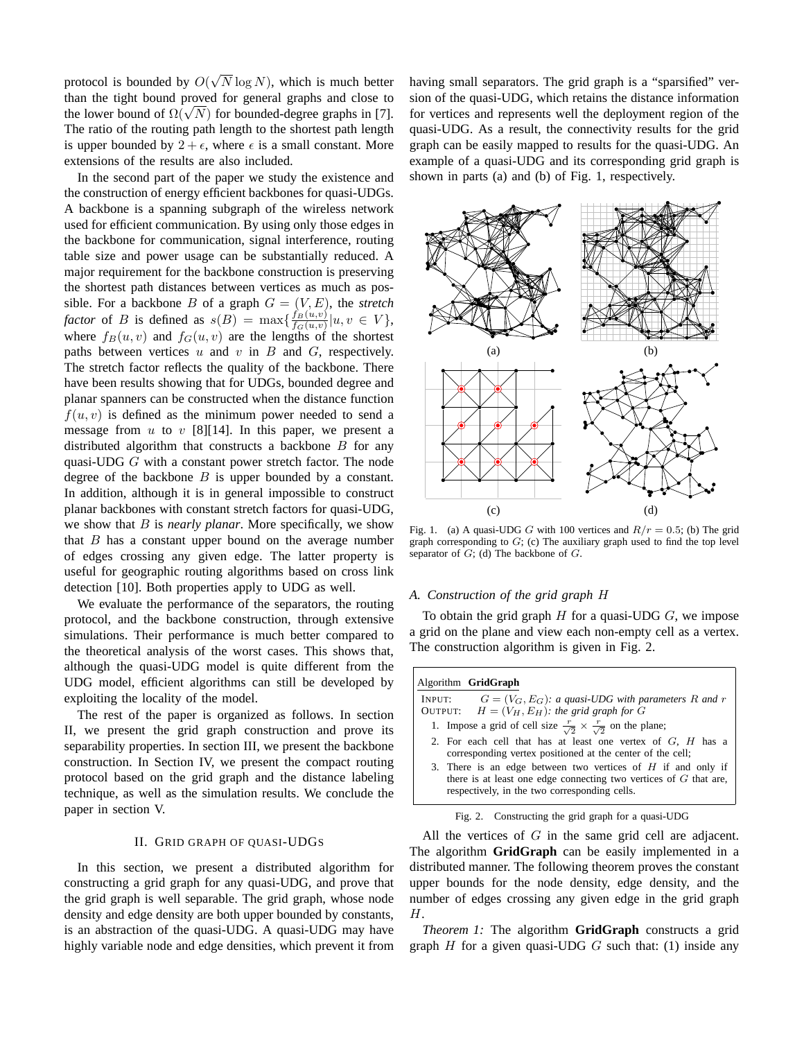protocol is bounded by  $O($ √  $N \log N$ , which is much better than the tight bound proved for general graphs and close to than the tight bound proved for general graphs and close to the lower bound of  $\Omega(\sqrt{N})$  for bounded-degree graphs in [7]. The ratio of the routing path length to the shortest path length is upper bounded by  $2 + \epsilon$ , where  $\epsilon$  is a small constant. More extensions of the results are also included.

In the second part of the paper we study the existence and the construction of energy efficient backbones for quasi-UDGs. A backbone is a spanning subgraph of the wireless network used for efficient communication. By using only those edges in the backbone for communication, signal interference, routing table size and power usage can be substantially reduced. A major requirement for the backbone construction is preserving the shortest path distances between vertices as much as possible. For a backbone  $B$  of a graph  $G = (V, E)$ , the *stretch factor* of B is defined as  $s(B) = \max\left\{\frac{f_B(u,v)}{f_B(u,v)}\right\}$  $\frac{f_B(u,v)}{f_G(u,v)} |u, v \in V$ , where  $f_B(u, v)$  and  $f_G(u, v)$  are the lengths of the shortest paths between vertices  $u$  and  $v$  in  $B$  and  $G$ , respectively. The stretch factor reflects the quality of the backbone. There have been results showing that for UDGs, bounded degree and planar spanners can be constructed when the distance function  $f(u, v)$  is defined as the minimum power needed to send a message from u to v [8][14]. In this paper, we present a distributed algorithm that constructs a backbone  $B$  for any quasi-UDG G with a constant power stretch factor. The node degree of the backbone  $B$  is upper bounded by a constant. In addition, although it is in general impossible to construct planar backbones with constant stretch factors for quasi-UDG, we show that B is *nearly planar*. More specifically, we show that  $B$  has a constant upper bound on the average number of edges crossing any given edge. The latter property is useful for geographic routing algorithms based on cross link detection [10]. Both properties apply to UDG as well.

We evaluate the performance of the separators, the routing protocol, and the backbone construction, through extensive simulations. Their performance is much better compared to the theoretical analysis of the worst cases. This shows that, although the quasi-UDG model is quite different from the UDG model, efficient algorithms can still be developed by exploiting the locality of the model.

The rest of the paper is organized as follows. In section II, we present the grid graph construction and prove its separability properties. In section III, we present the backbone construction. In Section IV, we present the compact routing protocol based on the grid graph and the distance labeling technique, as well as the simulation results. We conclude the paper in section V.

#### II. GRID GRAPH OF QUASI-UDGS

In this section, we present a distributed algorithm for constructing a grid graph for any quasi-UDG, and prove that the grid graph is well separable. The grid graph, whose node density and edge density are both upper bounded by constants, is an abstraction of the quasi-UDG. A quasi-UDG may have highly variable node and edge densities, which prevent it from having small separators. The grid graph is a "sparsified" version of the quasi-UDG, which retains the distance information for vertices and represents well the deployment region of the quasi-UDG. As a result, the connectivity results for the grid graph can be easily mapped to results for the quasi-UDG. An example of a quasi-UDG and its corresponding grid graph is shown in parts (a) and (b) of Fig. 1, respectively.



Fig. 1. (a) A quasi-UDG G with 100 vertices and  $R/r = 0.5$ ; (b) The grid graph corresponding to  $G$ ; (c) The auxiliary graph used to find the top level separator of  $G$ ; (d) The backbone of  $G$ .

#### *A. Construction of the grid graph* H

To obtain the grid graph  $H$  for a quasi-UDG  $G$ , we impose a grid on the plane and view each non-empty cell as a vertex. The construction algorithm is given in Fig. 2.

## Algorithm **GridGraph**

INPUT:  $G = (V_G, E_G)$ : a quasi-UDG with parameters R and r<br>OUTPUT:  $H = (V_H, E_H)$ : the grid graph for G  $H = (V_H, E_H)$ : the grid graph for G 1. Impose a grid of cell size  $\frac{r}{\sqrt{2}} \times \frac{r}{\sqrt{2}}$  on the plane;

- 2. For each cell that has at least one vertex of  $G$ ,  $H$  has a corresponding vertex positioned at the center of the cell;
- 3. There is an edge between two vertices of  $H$  if and only if there is at least one edge connecting two vertices of  $G$  that are, respectively, in the two corresponding cells.

| Fig. 2. | Constructing the grid graph for a quasi-UDG |  |  |  |
|---------|---------------------------------------------|--|--|--|
|         |                                             |  |  |  |

All the vertices of  $G$  in the same grid cell are adjacent. The algorithm **GridGraph** can be easily implemented in a distributed manner. The following theorem proves the constant upper bounds for the node density, edge density, and the number of edges crossing any given edge in the grid graph H.

*Theorem 1:* The algorithm **GridGraph** constructs a grid graph  $H$  for a given quasi-UDG  $G$  such that: (1) inside any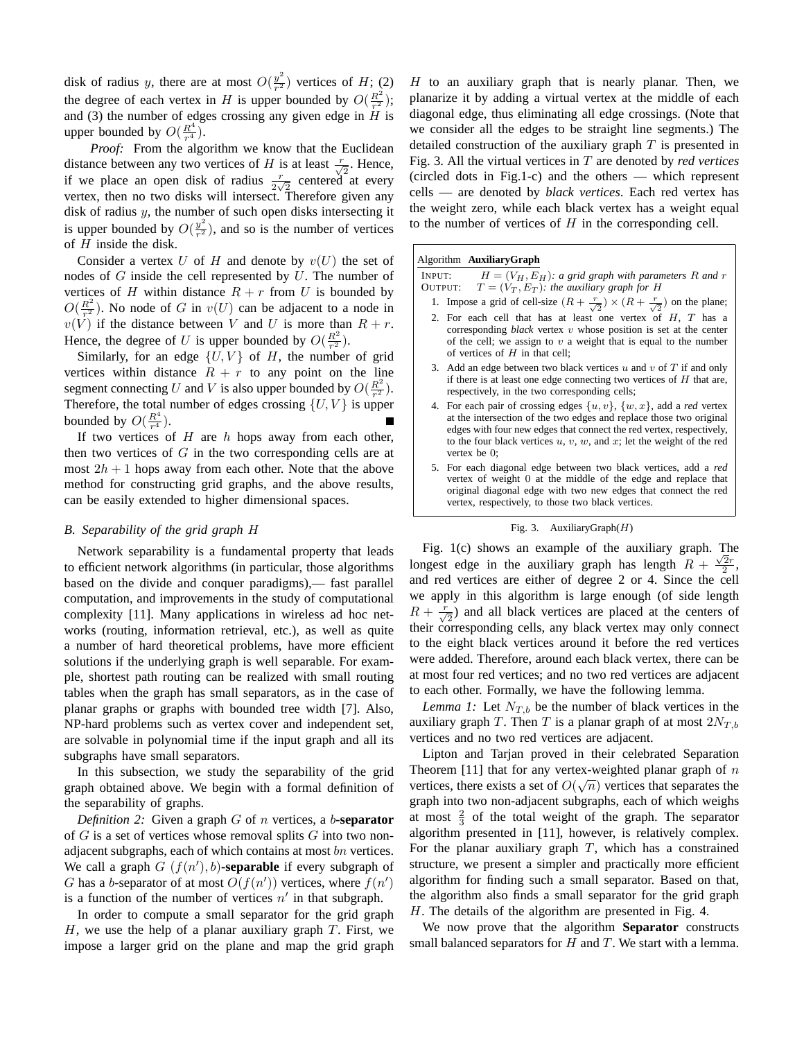disk of radius y, there are at most  $O(\frac{y^2}{r^2})$  $\frac{y^2}{r^2}$ ) vertices of H; (2) the degree of each vertex in H is upper bounded by  $O(\frac{R^2}{r^2})$  $\frac{R^2}{r^2});$ and (3) the number of edges crossing any given edge in  $H$  is upper bounded by  $O(\frac{R^4}{r^4})$  $rac{R^4}{r^4}$ .

*Proof:* From the algorithm we know that the Euclidean distance between any two vertices of H is at least  $\frac{r}{\sqrt{2}}$ . Hence, if we place an open disk of radius  $\frac{r}{2\sqrt{2}}$  centered at every vertex, then no two disks will intersect. Therefore given any disk of radius y, the number of such open disks intersecting it is upper bounded by  $O(\frac{y^2}{r^2})$  $\frac{y^2}{r^2}$ ), and so is the number of vertices of  $H$  inside the disk.

Consider a vertex U of H and denote by  $v(U)$  the set of nodes of  $G$  inside the cell represented by  $U$ . The number of vertices of H within distance  $R + r$  from U is bounded by  $O(\frac{R^2}{r^2})$  $\frac{R^2}{r^2}$ ). No node of G in  $v(U)$  can be adjacent to a node in  $v(V)$  if the distance between V and U is more than  $R + r$ . Hence, the degree of U is upper bounded by  $O(\frac{R^2}{r^2})$  $rac{R^2}{r^2}$ .

Similarly, for an edge  $\{U, V\}$  of H, the number of grid vertices within distance  $R + r$  to any point on the line segment connecting U and V is also upper bounded by  $O(\frac{R^2}{r^2})$  $rac{R^2}{r^2}$ . Therefore, the total number of edges crossing  $\{U, V\}$  is upper bounded by  $O(\frac{R^4}{r^4})$  $rac{R^4}{r^4}$ .

If two vertices of  $H$  are  $h$  hops away from each other, then two vertices of  $G$  in the two corresponding cells are at most  $2h + 1$  hops away from each other. Note that the above method for constructing grid graphs, and the above results, can be easily extended to higher dimensional spaces.

#### *B. Separability of the grid graph* H

Network separability is a fundamental property that leads to efficient network algorithms (in particular, those algorithms based on the divide and conquer paradigms),— fast parallel computation, and improvements in the study of computational complexity [11]. Many applications in wireless ad hoc networks (routing, information retrieval, etc.), as well as quite a number of hard theoretical problems, have more efficient solutions if the underlying graph is well separable. For example, shortest path routing can be realized with small routing tables when the graph has small separators, as in the case of planar graphs or graphs with bounded tree width [7]. Also, NP-hard problems such as vertex cover and independent set, are solvable in polynomial time if the input graph and all its subgraphs have small separators.

In this subsection, we study the separability of the grid graph obtained above. We begin with a formal definition of the separability of graphs.

*Definition 2:* Given a graph G of n vertices, a b**-separator** of  $G$  is a set of vertices whose removal splits  $G$  into two nonadjacent subgraphs, each of which contains at most bn vertices. We call a graph  $G(f(n'), b)$ -separable if every subgraph of G has a b-separator of at most  $O(f(n'))$  vertices, where  $f(n')$ is a function of the number of vertices  $n'$  in that subgraph.

In order to compute a small separator for the grid graph  $H$ , we use the help of a planar auxiliary graph  $T$ . First, we impose a larger grid on the plane and map the grid graph

H to an auxiliary graph that is nearly planar. Then, we planarize it by adding a virtual vertex at the middle of each diagonal edge, thus eliminating all edge crossings. (Note that we consider all the edges to be straight line segments.) The detailed construction of the auxiliary graph  $T$  is presented in Fig. 3. All the virtual vertices in T are denoted by *red vertices* (circled dots in Fig.1-c) and the others — which represent cells — are denoted by *black vertices*. Each red vertex has the weight zero, while each black vertex has a weight equal to the number of vertices of  $H$  in the corresponding cell.

## Algorithm **AuxiliaryGraph**

INPUT:  $H = (V_H, E_H)$ : a grid graph with parameters R and r OUTPUT:  $T = (V_T, E_T)$ *: the auxiliary graph for H* 

- 1. Impose a grid of cell-size  $(R + \frac{r}{\sqrt{2}}) \times (R + \frac{r}{\sqrt{2}})$  on the plane;
- 2. For each cell that has at least one vertex of  $H$ ,  $T$  has a corresponding *black* vertex v whose position is set at the center of the cell; we assign to  $v$  a weight that is equal to the number of vertices of  $H$  in that cell;
- 3. Add an edge between two black vertices  $u$  and  $v$  of  $T$  if and only if there is at least one edge connecting two vertices of  $H$  that are, respectively, in the two corresponding cells;
- 4. For each pair of crossing edges  $\{u, v\}$ ,  $\{w, x\}$ , add a *red* vertex at the intersection of the two edges and replace those two original edges with four new edges that connect the red vertex, respectively, to the four black vertices  $u, v, w$ , and  $x$ ; let the weight of the red vertex be 0;
- 5. For each diagonal edge between two black vertices, add a *red* vertex of weight 0 at the middle of the edge and replace that original diagonal edge with two new edges that connect the red vertex, respectively, to those two black vertices.

#### Fig. 3. AuxiliaryGraph $(H)$

Fig. 1(c) shows an example of the auxiliary graph. The longest edge in the auxiliary graph has length  $R + \frac{\sqrt{2}r}{2}$ , and red vertices are either of degree 2 or 4. Since the cell we apply in this algorithm is large enough (of side length  $R + \frac{r}{\sqrt{2}}$  and all black vertices are placed at the centers of their corresponding cells, any black vertex may only connect to the eight black vertices around it before the red vertices were added. Therefore, around each black vertex, there can be at most four red vertices; and no two red vertices are adjacent to each other. Formally, we have the following lemma.

*Lemma 1:* Let  $N_{T,b}$  be the number of black vertices in the auxiliary graph T. Then T is a planar graph of at most  $2N_{T,b}$ vertices and no two red vertices are adjacent.

Lipton and Tarjan proved in their celebrated Separation Theorem [11] that for any vertex-weighted planar graph of n vertices, there exists a set of  $O(\sqrt{n})$  vertices that separates the graph into two non-adjacent subgraphs, each of which weighs at most  $\frac{2}{3}$  of the total weight of the graph. The separator algorithm presented in [11], however, is relatively complex. For the planar auxiliary graph  $T$ , which has a constrained structure, we present a simpler and practically more efficient algorithm for finding such a small separator. Based on that, the algorithm also finds a small separator for the grid graph H. The details of the algorithm are presented in Fig. 4.

We now prove that the algorithm **Separator** constructs small balanced separators for  $H$  and  $T$ . We start with a lemma.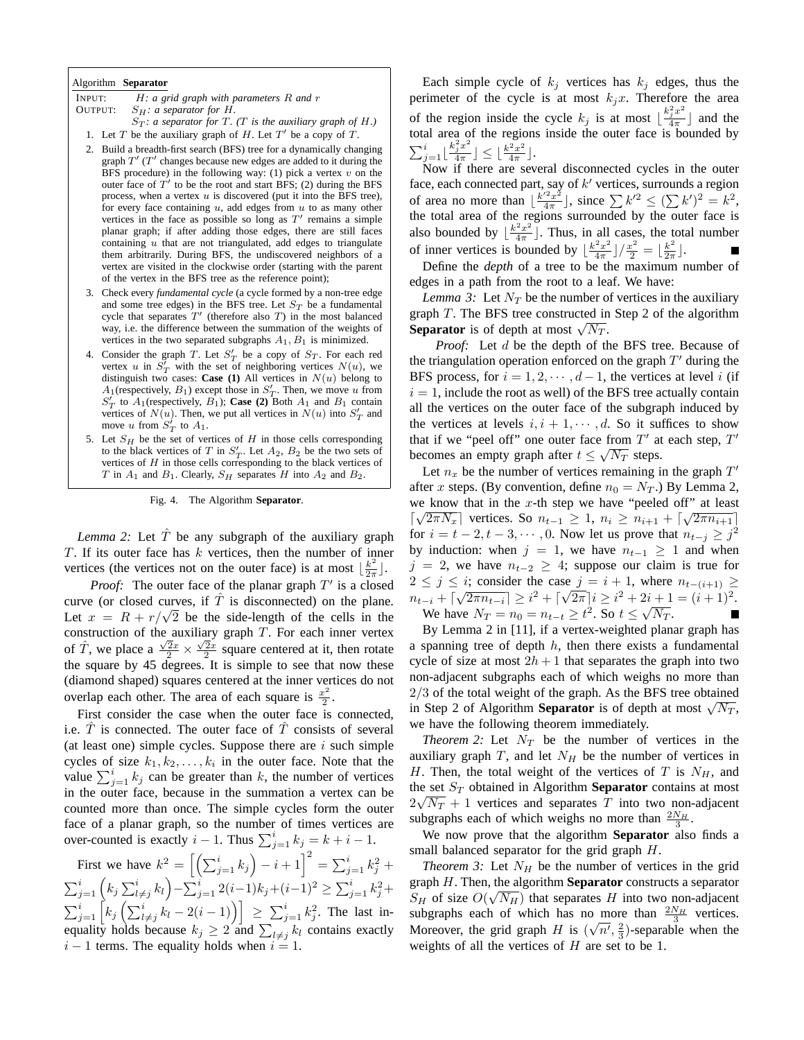#### Algorithm **Separator**

| INPUT:  | $H: a \text{ grid graph with parameters } R \text{ and } r$ |  |
|---------|-------------------------------------------------------------|--|
| OUTPUT: | $S_H$ : a separator for H.                                  |  |
|         |                                                             |  |

- $S_T$ *: a separator for*  $T$ *. (T is the auxiliary graph of H.)*
- 1. Let T be the auxiliary graph of  $H$ . Let  $T'$  be a copy of T.
- 2. Build a breadth-first search (BFS) tree for a dynamically changing graph  $T'$  ( $T'$  changes because new edges are added to it during the BFS procedure) in the following way: (1) pick a vertex  $v$  on the outer face of  $T'$  to be the root and start BFS; (2) during the BFS process, when a vertex  $u$  is discovered (put it into the BFS tree), for every face containing  $u$ , add edges from  $u$  to as many other vertices in the face as possible so long as  $T'$  remains a simple planar graph; if after adding those edges, there are still faces containing  $u$  that are not triangulated, add edges to triangulate them arbitrarily. During BFS, the undiscovered neighbors of a vertex are visited in the clockwise order (starting with the parent of the vertex in the BFS tree as the reference point);
- 3. Check every *fundamental cycle* (a cycle formed by a non-tree edge and some tree edges) in the BFS tree. Let  $S_T$  be a fundamental cycle that separates  $T'$  (therefore also  $T$ ) in the most balanced way, i.e. the difference between the summation of the weights of vertices in the two separated subgraphs  $A_1, B_1$  is minimized.
- 4. Consider the graph T. Let  $S'_T$  be a copy of  $S_T$ . For each red vertex u in  $S'_T$  with the set of neighboring vertices  $N(u)$ , we distinguish two cases: **Case (1)** All vertices in  $N(u)$  belong to  $A_1$ (respectively,  $B_1$ ) except those in  $S'_T$ . Then, we move u from  $S'_T$  to  $A_1$  (respectively,  $B_1$ ); **Case (2)** Both  $A_1$  and  $B_1$  contain vertices of  $N(u)$ . Then, we put all vertices in  $N(u)$  into  $S'_T$  and move u from  $S'_T$  to  $A_1$ .
- 5. Let  $S_H$  be the set of vertices of  $H$  in those cells corresponding to the black vertices of T in  $S'_T$ . Let  $A_2$ ,  $B_2$  be the two sets of vertices of  $H$  in those cells corresponding to the black vertices of T in  $A_1$  and  $B_1$ . Clearly,  $S_H$  separates H into  $A_2$  and  $B_2$ .

Fig. 4. The Algorithm **Separator**.

*Lemma 2:* Let  $\hat{T}$  be any subgraph of the auxiliary graph  $T$ . If its outer face has  $k$  vertices, then the number of inner vertices (the vertices not on the outer face) is at most  $\frac{k^2}{2\pi}$  $\frac{k^2}{2\pi}$ .

*Proof:* The outer face of the planar graph  $T'$  is a closed curve (or closed curves, if  $\hat{T}$  is disconnected) on the plane. curve (or closed curves, if 1 is disconnected) on the plane.<br>Let  $x = R + r/\sqrt{2}$  be the side-length of the cells in the construction of the auxiliary graph  $T$ . For each inner vertex of  $\hat{T}$ , we place a  $\frac{\sqrt{2}x}{2} \times \frac{\sqrt{2}x}{2}$  square centered at it, then rotate the square by 45 degrees. It is simple to see that now these (diamond shaped) squares centered at the inner vertices do not overlap each other. The area of each square is  $\frac{x^2}{2}$  $\frac{c}{2}$ .

First consider the case when the outer face is connected, i.e.  $\hat{T}$  is connected. The outer face of  $\hat{T}$  consists of several (at least one) simple cycles. Suppose there are  $i$  such simple cycles of size  $k_1, k_2, \ldots, k_i$  in the outer face. Note that the cycles of size  $k_1, k_2, \ldots, k_i$  in the other face. Note that the value  $\sum_{j=1}^i k_j$  can be greater than k, the number of vertices in the outer face, because in the summation a vertex can be counted more than once. The simple cycles form the outer face of a planar graph, so the number of times vertices are race or a planar graph, so the number of times vertices<br>over-counted is exactly  $i - 1$ . Thus  $\sum_{j=1}^{i} k_j = k + i - 1$ .

First we have  $k^2 = \left[\left(\sum_{j=1}^i k_j\right)\right]$  $\sum_{j=1}^{n}$   $\sum_{j=1}^{n}$   $\sum_{j=1}^{n}$   $\sum_{j=1}^{i}$   $k_{j}^{2}$  +  $\sum_{j=1}^i (k_j \sum_{l \neq j}^i k_l) - \sum_{j=1}^i 2(i-1)k_j + (i-1)^2 \geq \sum_{j=1}^i k_j^2 +$  $\sum_{j=1}^{i} \begin{bmatrix} n_j \ \end{bmatrix}$ <br> $\sum_{j=1}^{i} k_j \left( \sum_{l=1}^{i} \right)$  $\left[\begin{array}{c} \sum_{j=1}^{i} k_{ij} & \sum_{j=1}^{i} \sum_{j=1}^{i} k_{ij} & \sum_{j=1}^{i} k_{ij} \ k_{ij} & -2(i-1) \end{array}\right] \geq \sum_{j=1}^{i} k_{j}^{2}$ . The last in- $\sum_{j=1}^{\infty} \left[ \begin{array}{cc} \sqrt{2} & \sqrt{2} \\ \sqrt{2} & \sqrt{2} \end{array} \right]$  or  $\sum_{k=1}^{\infty} \left( \begin{array}{c} \sqrt{2} & \sqrt{2} \\ \sqrt{2} & \sqrt{2} \end{array} \right]$  and  $\sum_{l \neq j} k_l$  contains exactly  $i - 1$  terms. The equality holds when  $i = 1$ .

Each simple cycle of  $k_j$  vertices has  $k_j$  edges, thus the perimeter of the cycle is at most  $k_jx$ . Therefore the area of the region inside the cycle  $k_j$  is at most  $\lfloor \frac{k_j^2 x^2}{4\pi} \rfloor$  $\frac{j^x}{4\pi}$  and the total area of the regions inside the outer face is bounded by  $\sum_{j=1}^{i} \lfloor \frac{k_j^2 x^2}{4\pi} \rfloor \le \lfloor \frac{k^2 x^2}{4\pi} \rfloor$ .  $\left[\frac{2x^2}{4\pi}\right] \leq \left[\frac{k^2x^2}{4\pi}\right]$  $\frac{2x^2}{4\pi}$ .

Now if there are several disconnected cycles in the outer face, each connected part, say of  $k'$  vertices, surrounds a region of area no more than  $\frac{k'^2x^2}{4\pi}$ Say of  $\kappa$  vertices, surfounds a region<br>  $\frac{f^2 x^2}{4\pi}$ , since  $\sum k'^2 \le (\sum k')^2 = k^2$ , the total area of the regions surrounded by the outer face is also bounded by  $\frac{k^2x^2}{4\pi}$  $\left[\frac{2x^2}{4\pi}\right]$ . Thus, in all cases, the total number of inner vertices is bounded by  $\frac{k^2x^2}{4\pi}$  $\frac{k^2x^2}{4\pi}\rfloor/\frac{x^2}{2}=\lfloor\frac{k^2}{2\pi}\rfloor$  $\frac{k^2}{2\pi}$ .

Define the *depth* of a tree to be the maximum number of edges in a path from the root to a leaf. We have:

*Lemma 3:* Let  $N_T$  be the number of vertices in the auxiliary graph  $T$ . The BFS tree constructed in Step 2 of the algorithm graph 1. The BFS tree constructed in<br>**Separator** is of depth at most  $\sqrt{N_T}$ .

*Proof:* Let d be the depth of the BFS tree. Because of the triangulation operation enforced on the graph  $T'$  during the BFS process, for  $i = 1, 2, \dots, d - 1$ , the vertices at level i (if  $i = 1$ , include the root as well) of the BFS tree actually contain all the vertices on the outer face of the subgraph induced by the vertices at levels  $i, i + 1, \dots, d$ . So it suffices to show that if we "peel off" one outer face from  $T'$  at each step,  $T'$ becomes an empty graph after  $t \leq \sqrt{N_T}$  steps.

Let  $n_x$  be the number of vertices remaining in the graph  $T'$ after x steps. (By convention, define  $n_0 = N_T$ .) By Lemma 2, we know that in the x-th step we have "peeled off" at least we know that in the x-th step we have beeled on at least  $\sqrt{2\pi N_x}$  vertices. So  $n_{t-1} \geq 1$ ,  $n_i \geq n_{i+1} + \sqrt{2\pi n_{i+1}}$ for  $i = t - 2, t - 3, \cdots, 0$ . Now let us prove that  $n_{t-j} \geq j^2$ by induction: when  $j = 1$ , we have  $n_{t-1} \geq 1$  and when  $j = 2$ , we have  $n_{t-2} \geq 4$ ; suppose our claim is true for  $2 \leq j \leq i$ ; consider the case  $j = i + 1$ , where  $n_{t-(i+1)} \geq$  $n_{t-i} + \lceil \sqrt{2\pi n_{t-i}} \rceil \geq i^2 + \lceil \sqrt{2\pi} \rceil i \geq i^2 + 2i + 1 = (i+1)^2.$ We have  $N_T = n_0 = n_{t-t} \geq t^2$ . So  $t \leq \sqrt{N_T}$ .

By Lemma 2 in [11], if a vertex-weighted planar graph has a spanning tree of depth  $h$ , then there exists a fundamental cycle of size at most  $2h + 1$  that separates the graph into two non-adjacent subgraphs each of which weighs no more than  $2/3$  of the total weight of the graph. As the BFS tree obtained  $\frac{2}{3}$  of the total weight of the graph. As the **BFS** tree obtained<br>in Step 2 of Algorithm **Separator** is of depth at most  $\sqrt{N_T}$ , we have the following theorem immediately.

*Theorem 2:* Let  $N_T$  be the number of vertices in the auxiliary graph  $T$ , and let  $N_H$  be the number of vertices in H. Then, the total weight of the vertices of T is  $N_H$ , and the set  $S_T$  obtained in Algorithm **Separator** contains at most  $2\sqrt{N_T} + 1$  vertices and separates T into two non-adjacent subgraphs each of which weighs no more than  $\frac{2N_H}{3}$ .

We now prove that the algorithm **Separator** also finds a small balanced separator for the grid graph  $H$ .

*Theorem 3:* Let  $N_H$  be the number of vertices in the grid graph *H*. Then, the algorithm **Separator** constructs a separator  $S_H$  of size  $O(\sqrt{N_H})$  that separates H into two non-adjacent subgraphs each of which has no more than  $\frac{2N_H}{3}$  vertices. Moreover, the grid graph H is  $(\sqrt{n'}, \frac{2}{3})$ -separable when the weights of all the vertices of  $H$  are set to be 1.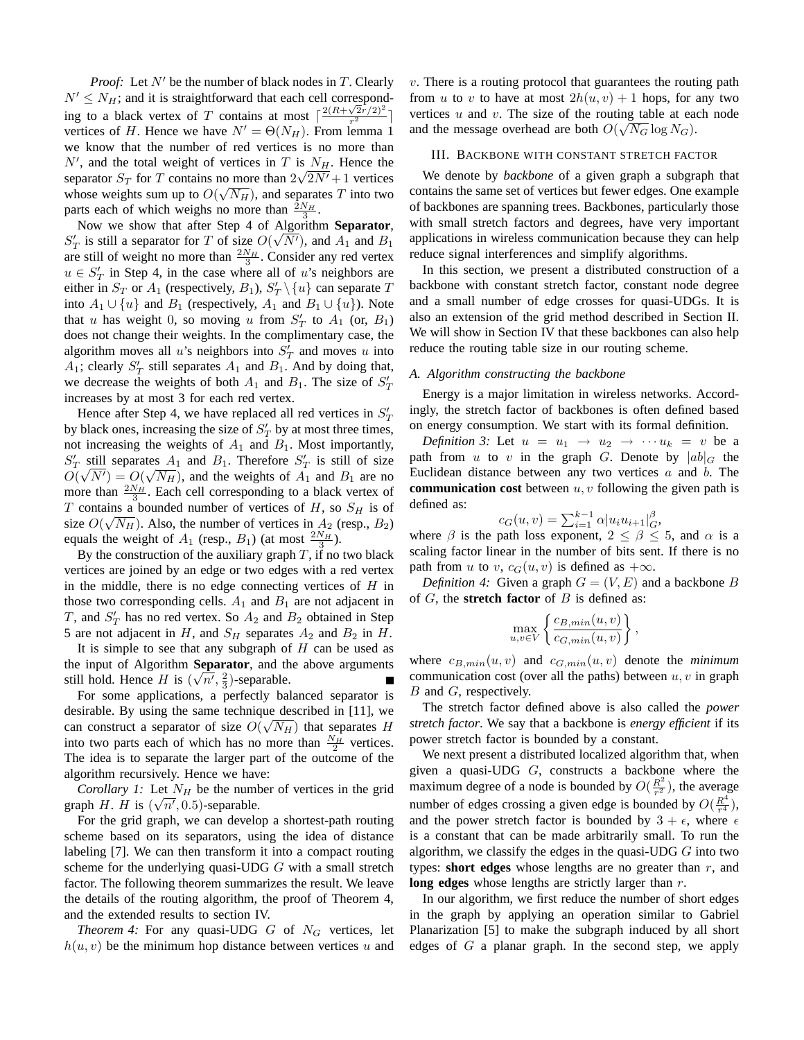*Proof:* Let  $N'$  be the number of black nodes in  $T$ . Clearly  $N' \le N_H$ ; and it is straightforward that each cell corresponding to a black vertex of T contains at most  $\lceil \frac{2(R+\sqrt{2r}/2)^2}{r^2} \rceil$  $\frac{\sqrt{2r/2}-1}{r^2}$ vertices of H. Hence we have  $N' = \Theta(N_H)$ . From lemma 1 we know that the number of red vertices is no more than  $N'$ , and the total weight of vertices in T is  $N_H$ . Hence the separator  $S_T$  for T contains no more than  $2\sqrt{2N'}+1$  vertices whose weights sum up to  $O(\sqrt{N_H})$ , and separates T into two parts each of which weighs no more than  $\frac{\bar{2}N_H}{3}$ .

Now we show that after Step 4 of Algorithm **Separator**,  $S'_T$  is still a separator for T of size  $O(\sqrt{N'})$ , and  $A_1$  and  $B_1$ are still of weight no more than  $\frac{2N_H}{3}$ . Consider any red vertex  $u \in S'_T$  in Step 4, in the case where all of u's neighbors are either in  $S_T$  or  $A_1$  (respectively,  $B_1$ ),  $S'_T \setminus \{u\}$  can separate T into  $A_1 \cup \{u\}$  and  $B_1$  (respectively,  $A_1$  and  $B_1 \cup \{u\}$ ). Note that u has weight 0, so moving u from  $S'_T$  to  $A_1$  (or,  $B_1$ ) does not change their weights. In the complimentary case, the algorithm moves all  $u$ 's neighbors into  $S'_T$  and moves  $u$  into  $A_1$ ; clearly  $S'_T$  still separates  $A_1$  and  $B_1$ . And by doing that, we decrease the weights of both  $A_1$  and  $B_1$ . The size of  $S'_1$ increases by at most 3 for each red vertex.

Hence after Step 4, we have replaced all red vertices in  $S'_T$ by black ones, increasing the size of  $S'_T$  by at most three times, not increasing the weights of  $A_1$  and  $B_1$ . Most importantly,  $S'_T$  still separates  $A_1$  and  $B_1$ . Therefore  $S'_T$  is still of size  $O(\sqrt{N'}) = O(\sqrt{N_H})$ , and the weights of  $A_1$  and  $B_1$  are no more than  $\frac{2N_H}{3}$ . Each cell corresponding to a black vertex of T contains a bounded number of vertices of H, so  $S_H$  is of size  $O(\sqrt{N_H})$ . Also, the number of vertices in  $A_2$  (resp.,  $B_2$ ) equals the weight of  $A_1$  (resp.,  $B_1$ ) (at most  $\frac{2N_H}{3}$ ).

By the construction of the auxiliary graph  $T$ , if no two black vertices are joined by an edge or two edges with a red vertex in the middle, there is no edge connecting vertices of  $H$  in those two corresponding cells.  $A_1$  and  $B_1$  are not adjacent in T, and  $S'_T$  has no red vertex. So  $A_2$  and  $B_2$  obtained in Step 5 are not adjacent in H, and  $S_H$  separates  $A_2$  and  $B_2$  in H.

It is simple to see that any subgraph of  $H$  can be used as the input of Algorithm **Separator**, and the above arguments √ still hold. Hence *H* is  $(\sqrt{n'}, \frac{2}{3})$ -separable.

For some applications, a perfectly balanced separator is desirable. By using the same technique described in [11], we can construct a separator of size  $O(\sqrt{N_H})$  that separates H into two parts each of which has no more than  $\frac{N_H}{2}$  vertices. The idea is to separate the larger part of the outcome of the algorithm recursively. Hence we have:

*Corollary 1:* Let  $N_H$  be the number of vertices in the grid graph H. H is  $(\sqrt{n'}, 0.5)$ -separable.

For the grid graph, we can develop a shortest-path routing scheme based on its separators, using the idea of distance labeling [7]. We can then transform it into a compact routing scheme for the underlying quasi-UDG  $G$  with a small stretch factor. The following theorem summarizes the result. We leave the details of the routing algorithm, the proof of Theorem 4, and the extended results to section IV.

*Theorem 4:* For any quasi-UDG  $G$  of  $N_G$  vertices, let  $h(u, v)$  be the minimum hop distance between vertices u and  $v$ . There is a routing protocol that guarantees the routing path from u to v to have at most  $2h(u, v) + 1$  hops, for any two vertices u and v. The size of the routing table at each node and the message overhead are both  $O(\sqrt{N_G} \log N_G)$ .

## III. BACKBONE WITH CONSTANT STRETCH FACTOR

We denote by *backbone* of a given graph a subgraph that contains the same set of vertices but fewer edges. One example of backbones are spanning trees. Backbones, particularly those with small stretch factors and degrees, have very important applications in wireless communication because they can help reduce signal interferences and simplify algorithms.

In this section, we present a distributed construction of a backbone with constant stretch factor, constant node degree and a small number of edge crosses for quasi-UDGs. It is also an extension of the grid method described in Section II. We will show in Section IV that these backbones can also help reduce the routing table size in our routing scheme.

## *A. Algorithm constructing the backbone*

Energy is a major limitation in wireless networks. Accordingly, the stretch factor of backbones is often defined based on energy consumption. We start with its formal definition.

*Definition 3:* Let  $u = u_1 \rightarrow u_2 \rightarrow \cdots u_k = v$  be a path from u to v in the graph G. Denote by  $|ab|_G$  the Euclidean distance between any two vertices  $a$  and  $b$ . The **communication cost** between u, v following the given path is defined as:

$$
c_G(u, v) = \sum_{i=1}^{k-1} \alpha |u_i u_{i+1}|_G^{\beta},
$$

where  $\beta$  is the path loss exponent,  $2 \leq \beta \leq 5$ , and  $\alpha$  is a scaling factor linear in the number of bits sent. If there is no path from u to v,  $c_G(u, v)$  is defined as  $+\infty$ .

*Definition 4:* Given a graph  $G = (V, E)$  and a backbone B of  $G$ , the **stretch factor** of  $B$  is defined as:

$$
\max_{u,v \in V} \left\{ \frac{c_{B,min}(u,v)}{c_{G,min}(u,v)} \right\},\,
$$

where  $c_{B,min}(u, v)$  and  $c_{G,min}(u, v)$  denote the *minimum* communication cost (over all the paths) between  $u, v$  in graph B and G, respectively.

The stretch factor defined above is also called the *power stretch factor*. We say that a backbone is *energy efficient* if its power stretch factor is bounded by a constant.

We next present a distributed localized algorithm that, when given a quasi-UDG  $G$ , constructs a backbone where the maximum degree of a node is bounded by  $O(\frac{R^2}{r^2})$  $\frac{R^2}{r^2}$ ), the average number of edges crossing a given edge is bounded by  $O(\frac{R^4}{r^4})$  $\frac{R^4}{r^4}),$ and the power stretch factor is bounded by  $3 + \epsilon$ , where  $\epsilon$ is a constant that can be made arbitrarily small. To run the algorithm, we classify the edges in the quasi-UDG  $G$  into two types: **short edges** whose lengths are no greater than  $r$ , and long edges whose lengths are strictly larger than r.

In our algorithm, we first reduce the number of short edges in the graph by applying an operation similar to Gabriel Planarization [5] to make the subgraph induced by all short edges of  $G$  a planar graph. In the second step, we apply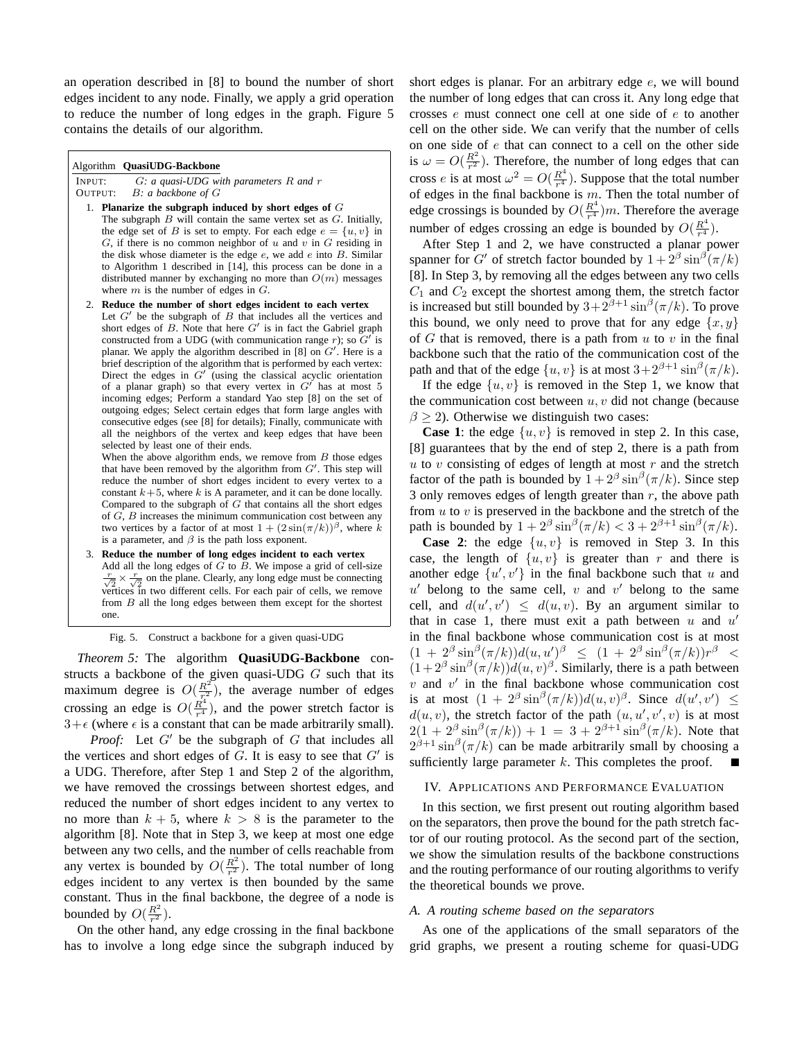an operation described in [8] to bound the number of short edges incident to any node. Finally, we apply a grid operation to reduce the number of long edges in the graph. Figure 5 contains the details of our algorithm.

#### Algorithm **QuasiUDG-Backbone**

INPUT: G*: a quasi-UDG with parameters* R *and* r B: a backbone of G

- 1. **Planarize the subgraph induced by short edges of** G
	- The subgraph  $B$  will contain the same vertex set as  $G$ . Initially, the edge set of B is set to empty. For each edge  $e = \{u, v\}$  in  $G$ , if there is no common neighbor of u and v in  $G$  residing in the disk whose diameter is the edge  $e$ , we add  $e$  into  $B$ . Similar to Algorithm 1 described in [14], this process can be done in a distributed manner by exchanging no more than  $O(m)$  messages where  $m$  is the number of edges in  $G$ .
- 2. **Reduce the number of short edges incident to each vertex** Let  $G'$  be the subgraph of  $B$  that includes all the vertices and short edges of  $B$ . Note that here  $G'$  is in fact the Gabriel graph constructed from a UDG (with communication range r); so  $G'$  is planar. We apply the algorithm described in [8] on  $G'$ . Here is a brief description of the algorithm that is performed by each vertex: Direct the edges in  $G'$  (using the classical acyclic orientation of a planar graph) so that every vertex in  $G'$  has at most 5 incoming edges; Perform a standard Yao step [8] on the set of outgoing edges; Select certain edges that form large angles with consecutive edges (see [8] for details); Finally, communicate with all the neighbors of the vertex and keep edges that have been selected by least one of their ends.

When the above algorithm ends, we remove from  $B$  those edges that have been removed by the algorithm from  $G'$ . This step will reduce the number of short edges incident to every vertex to a constant  $k+5$ , where k is A parameter, and it can be done locally. Compared to the subgraph of  $G$  that contains all the short edges of G, B increases the minimum communication cost between any two vertices by a factor of at most  $1 + (2 \sin(\pi/k))^{\beta}$ , where k is a parameter, and  $\beta$  is the path loss exponent.

3. **Reduce the number of long edges incident to each vertex** Add all the long edges of  $\tilde{G}$  to  $\tilde{B}$ . We impose a grid of cell-size  $\frac{r}{\sqrt{2}} \times \frac{r}{\sqrt{2}}$  on the plane. Clearly, any long edge must be connecting vertices in two different cells. For each pair of cells, we remove from B all the long edges between them except for the shortest one.

Fig. 5. Construct a backbone for a given quasi-UDG

*Theorem 5:* The algorithm **QuasiUDG-Backbone** constructs a backbone of the given quasi-UDG  $G$  such that its maximum degree is  $O(\frac{R^2}{r^2})$  $\frac{R^2}{r_1^2}$ ), the average number of edges crossing an edge is  $O(\frac{R^4}{r^4})$  $\frac{R^4}{r^4}$ ), and the power stretch factor is  $3+\epsilon$  (where  $\epsilon$  is a constant that can be made arbitrarily small).

*Proof:* Let  $G'$  be the subgraph of  $G$  that includes all the vertices and short edges of  $G$ . It is easy to see that  $G'$  is a UDG. Therefore, after Step 1 and Step 2 of the algorithm, we have removed the crossings between shortest edges, and reduced the number of short edges incident to any vertex to no more than  $k + 5$ , where  $k > 8$  is the parameter to the algorithm [8]. Note that in Step 3, we keep at most one edge between any two cells, and the number of cells reachable from any vertex is bounded by  $O(\frac{R^2}{r^2})$  $\frac{R^2}{r^2}$ ). The total number of long edges incident to any vertex is then bounded by the same constant. Thus in the final backbone, the degree of a node is bounded by  $O(\frac{R^2}{r^2})$  $rac{R^2}{r^2}$ .

On the other hand, any edge crossing in the final backbone has to involve a long edge since the subgraph induced by short edges is planar. For an arbitrary edge e, we will bound the number of long edges that can cross it. Any long edge that crosses e must connect one cell at one side of e to another cell on the other side. We can verify that the number of cells on one side of e that can connect to a cell on the other side is  $\omega = O(\frac{R^2}{r^2})$  $\frac{R^2}{r^2}$ ). Therefore, the number of long edges that can cross e is at most  $\omega^2 = O(\frac{R^4}{r^4})$  $\frac{R^4}{r^4}$ ). Suppose that the total number of edges in the final backbone is  $m$ . Then the total number of edge crossings is bounded by  $O(\frac{R^4}{r^4})$  $\frac{R^4}{r^4}$ )*m*. Therefore the average number of edges crossing an edge is bounded by  $O(\frac{R^4}{r^4})$  $rac{R^4}{r^4}$ .

After Step 1 and 2, we have constructed a planar power spanner for G' of stretch factor bounded by  $1 + 2^{\beta} \sin^{\beta}(\pi/k)$ [8]. In Step 3, by removing all the edges between any two cells  $C_1$  and  $C_2$  except the shortest among them, the stretch factor is increased but still bounded by  $3+2^{\beta+1}\sin^{\beta}(\pi/k)$ . To prove this bound, we only need to prove that for any edge  $\{x, y\}$ of  $G$  that is removed, there is a path from  $u$  to  $v$  in the final backbone such that the ratio of the communication cost of the path and that of the edge  $\{u, v\}$  is at most  $3 + 2^{\beta+1} \sin^{\beta}(\pi/k)$ .

If the edge  $\{u, v\}$  is removed in the Step 1, we know that the communication cost between  $u, v$  did not change (because  $\beta \geq 2$ ). Otherwise we distinguish two cases:

**Case 1**: the edge  $\{u, v\}$  is removed in step 2. In this case, [8] guarantees that by the end of step 2, there is a path from  $u$  to v consisting of edges of length at most r and the stretch factor of the path is bounded by  $1 + 2^{\beta} \sin^{\beta}(\pi/k)$ . Since step 3 only removes edges of length greater than  $r$ , the above path from  $u$  to  $v$  is preserved in the backbone and the stretch of the path is bounded by  $1 + 2^{\beta} \sin^{\beta}(\pi/k) < 3 + 2^{\beta+1} \sin^{\beta}(\pi/k)$ .

**Case 2:** the edge  $\{u, v\}$  is removed in Step 3. In this case, the length of  $\{u, v\}$  is greater than r and there is another edge  $\{u', v'\}$  in the final backbone such that u and  $u'$  belong to the same cell, v and v' belong to the same cell, and  $d(u', v') \leq d(u, v)$ . By an argument similar to that in case 1, there must exit a path between  $u$  and  $u'$ in the final backbone whose communication cost is at most  $(1 + 2^{\beta} \sin^{\beta}(\pi/k))d(u, u')^{\beta} \leq (1 + 2^{\beta} \sin^{\beta}(\pi/k))r^{\beta}$  $(1+2^{\beta}\sin^{\beta}(\pi/k))d(u,v)^{\beta}$ . Similarly, there is a path between  $v$  and  $v'$  in the final backbone whose communication cost is at most  $(1 + 2^{\beta} \sin^{\beta}(\pi/k))d(u, v)^{\beta}$ . Since  $d(u', v') \leq$  $d(u, v)$ , the stretch factor of the path  $(u, u', v', v)$  is at most  $2(1+2^{\beta}\sin^{\beta}(\pi/k)) + 1 = 3 + 2^{\beta+1}\sin^{\beta}(\pi/k)$ . Note that  $2^{\beta+1} \sin^{\beta}(\pi/k)$  can be made arbitrarily small by choosing a sufficiently large parameter  $k$ . This completes the proof.

## IV. APPLICATIONS AND PERFORMANCE EVALUATION

In this section, we first present out routing algorithm based on the separators, then prove the bound for the path stretch factor of our routing protocol. As the second part of the section, we show the simulation results of the backbone constructions and the routing performance of our routing algorithms to verify the theoretical bounds we prove.

## *A. A routing scheme based on the separators*

As one of the applications of the small separators of the grid graphs, we present a routing scheme for quasi-UDG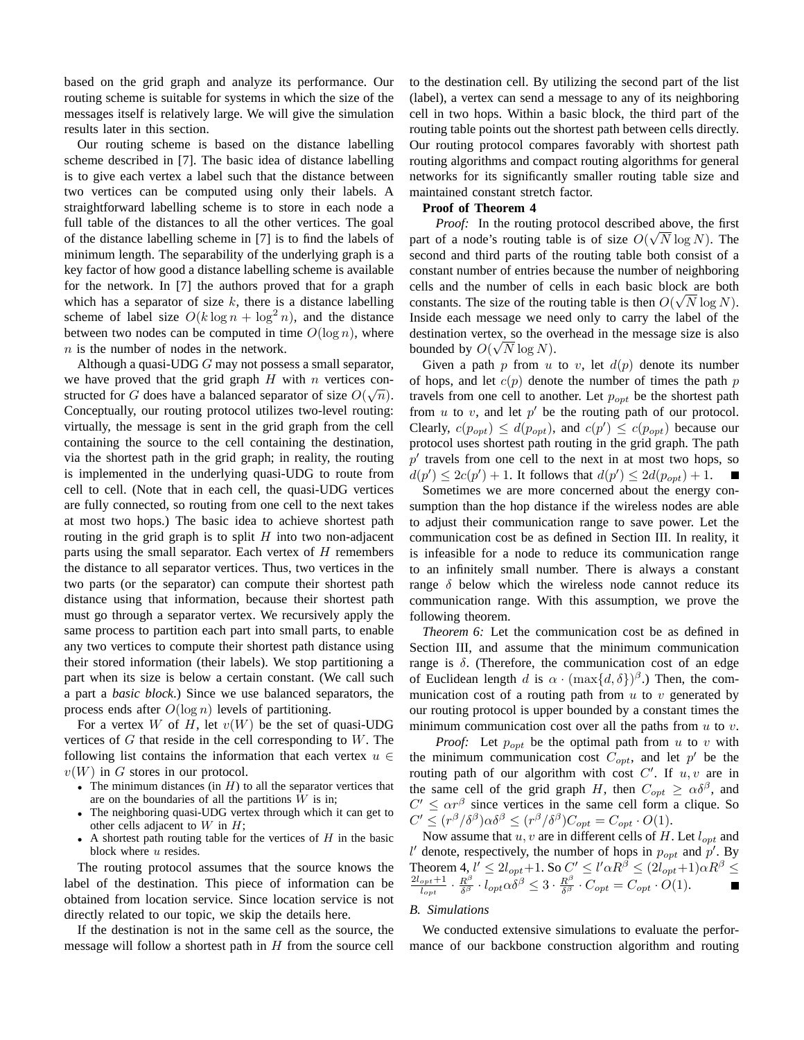based on the grid graph and analyze its performance. Our routing scheme is suitable for systems in which the size of the messages itself is relatively large. We will give the simulation results later in this section.

Our routing scheme is based on the distance labelling scheme described in [7]. The basic idea of distance labelling is to give each vertex a label such that the distance between two vertices can be computed using only their labels. A straightforward labelling scheme is to store in each node a full table of the distances to all the other vertices. The goal of the distance labelling scheme in [7] is to find the labels of minimum length. The separability of the underlying graph is a key factor of how good a distance labelling scheme is available for the network. In [7] the authors proved that for a graph which has a separator of size  $k$ , there is a distance labelling scheme of label size  $O(k \log n + \log^2 n)$ , and the distance between two nodes can be computed in time  $O(\log n)$ , where  $n$  is the number of nodes in the network.

Although a quasi-UDG  $G$  may not possess a small separator, we have proved that the grid graph H with n vertices constructed for G does have a balanced separator of size  $O(\sqrt{n})$ . Conceptually, our routing protocol utilizes two-level routing: virtually, the message is sent in the grid graph from the cell containing the source to the cell containing the destination, via the shortest path in the grid graph; in reality, the routing is implemented in the underlying quasi-UDG to route from cell to cell. (Note that in each cell, the quasi-UDG vertices are fully connected, so routing from one cell to the next takes at most two hops.) The basic idea to achieve shortest path routing in the grid graph is to split  $H$  into two non-adjacent parts using the small separator. Each vertex of  $H$  remembers the distance to all separator vertices. Thus, two vertices in the two parts (or the separator) can compute their shortest path distance using that information, because their shortest path must go through a separator vertex. We recursively apply the same process to partition each part into small parts, to enable any two vertices to compute their shortest path distance using their stored information (their labels). We stop partitioning a part when its size is below a certain constant. (We call such a part a *basic block*.) Since we use balanced separators, the process ends after  $O(\log n)$  levels of partitioning.

For a vertex W of H, let  $v(W)$  be the set of quasi-UDG vertices of  $G$  that reside in the cell corresponding to  $W$ . The following list contains the information that each vertex  $u \in$  $v(W)$  in G stores in our protocol.

- The minimum distances (in  $H$ ) to all the separator vertices that are on the boundaries of all the partitions  $W$  is in;
- The neighboring quasi-UDG vertex through which it can get to other cells adjacent to  $W$  in  $H$ ;
- A shortest path routing table for the vertices of  $H$  in the basic block where  $u$  resides.

The routing protocol assumes that the source knows the label of the destination. This piece of information can be obtained from location service. Since location service is not directly related to our topic, we skip the details here.

If the destination is not in the same cell as the source, the message will follow a shortest path in  $H$  from the source cell to the destination cell. By utilizing the second part of the list (label), a vertex can send a message to any of its neighboring cell in two hops. Within a basic block, the third part of the routing table points out the shortest path between cells directly. Our routing protocol compares favorably with shortest path routing algorithms and compact routing algorithms for general networks for its significantly smaller routing table size and maintained constant stretch factor.

# **Proof of Theorem 4**

*Proof:* In the routing protocol described above, the first part of a node's routing table is of size  $O(\sqrt{N} \log N)$ . The second and third parts of the routing table both consist of a constant number of entries because the number of neighboring cells and the number of cells in each basic block are both constants. The size of the routing table is then  $O(\sqrt{N} \log N)$ . Inside each message we need only to carry the label of the destination vertex, so the overhead in the message size is also bounded by  $O(\sqrt{N} \log N)$ .

Given a path p from u to v, let  $d(p)$  denote its number of hops, and let  $c(p)$  denote the number of times the path p travels from one cell to another. Let  $p_{opt}$  be the shortest path from  $u$  to  $v$ , and let  $p'$  be the routing path of our protocol. Clearly,  $c(p_{opt}) \le d(p_{opt})$ , and  $c(p') \le c(p_{opt})$  because our protocol uses shortest path routing in the grid graph. The path  $p'$  travels from one cell to the next in at most two hops, so  $d(p') \le 2c(p') + 1$ . It follows that  $d(p') \le 2d(p_{opt}) + 1$ .

Sometimes we are more concerned about the energy consumption than the hop distance if the wireless nodes are able to adjust their communication range to save power. Let the communication cost be as defined in Section III. In reality, it is infeasible for a node to reduce its communication range to an infinitely small number. There is always a constant range  $\delta$  below which the wireless node cannot reduce its communication range. With this assumption, we prove the following theorem.

*Theorem 6:* Let the communication cost be as defined in Section III, and assume that the minimum communication range is  $\delta$ . (Therefore, the communication cost of an edge of Euclidean length d is  $\alpha \cdot (\max\{d, \delta\})^{\beta}$ .) Then, the communication cost of a routing path from  $u$  to  $v$  generated by our routing protocol is upper bounded by a constant times the minimum communication cost over all the paths from  $u$  to  $v$ .

*Proof:* Let  $p_{opt}$  be the optimal path from u to v with the minimum communication cost  $C_{opt}$ , and let p' be the routing path of our algorithm with cost  $C'$ . If  $u, v$  are in the same cell of the grid graph H, then  $C_{opt} \ge \alpha \delta^{\beta}$ , and  $C' \leq \alpha r^{\beta}$  since vertices in the same cell form a clique. So  $C' \leq (r^{\beta}/\delta^{\beta})\alpha\delta^{\beta} \leq (r^{\beta}/\delta^{\beta})C_{opt} = C_{opt} \cdot O(1).$ 

Now assume that  $u, v$  are in different cells of H. Let  $l_{opt}$  and l' denote, respectively, the number of hops in  $p_{opt}$  and  $p'$ . By Theorem 4,  $l' \leq 2l_{opt}+1$ . So  $C' \leq l' \alpha R^{\beta} \leq (2l_{opt}+1)\alpha R^{\beta} \leq 2l_{opt}+1$  $\frac{\partial pt + 1}{\partial opt} \cdot \frac{R^{\beta}}{\delta^{\beta}}$  $\frac{R^{\beta}}{\delta^{\beta}}\cdot l_{opt}\alpha\dot{\delta}^{\beta}\leq 3\cdot\frac{R^{\beta}}{\delta^{\beta}}$  $rac{R^{\rho}}{\delta^{\beta}} \cdot C_{opt} = C_{opt} \cdot O(1).$ 

## *B. Simulations*

We conducted extensive simulations to evaluate the performance of our backbone construction algorithm and routing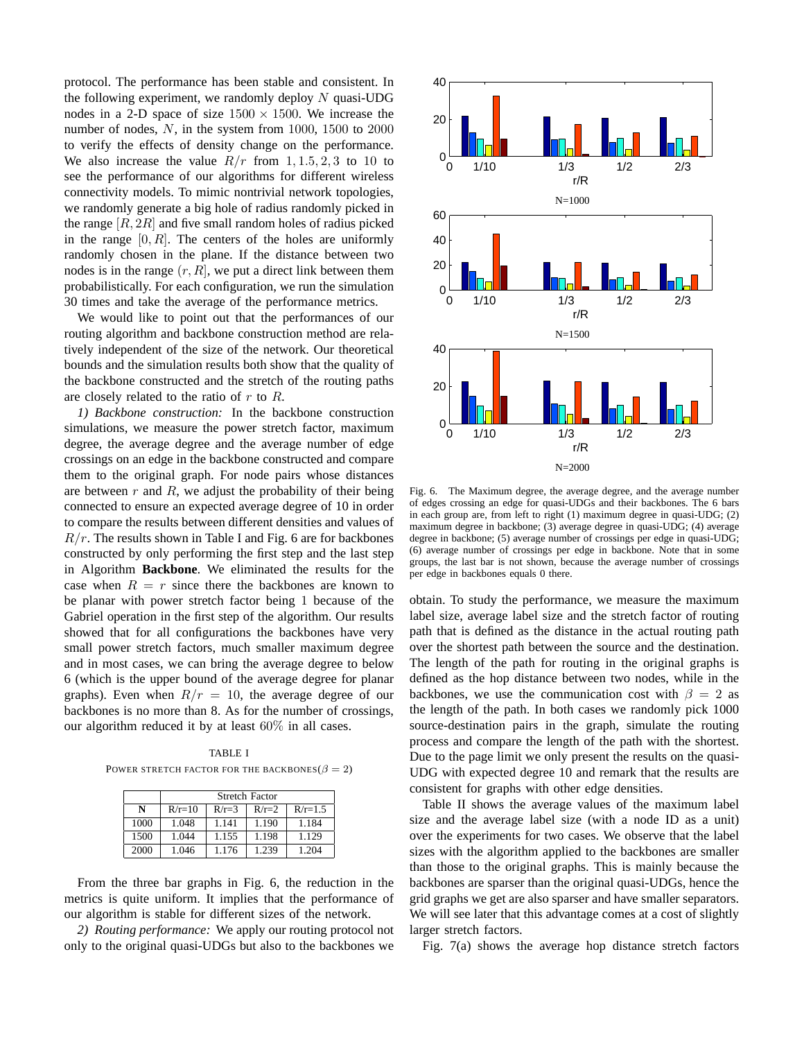protocol. The performance has been stable and consistent. In the following experiment, we randomly deploy  $N$  quasi-UDG nodes in a 2-D space of size  $1500 \times 1500$ . We increase the number of nodes, N, in the system from 1000, 1500 to 2000 to verify the effects of density change on the performance. We also increase the value  $R/r$  from 1, 1.5, 2, 3 to 10 to see the performance of our algorithms for different wireless connectivity models. To mimic nontrivial network topologies, we randomly generate a big hole of radius randomly picked in the range  $[R, 2R]$  and five small random holes of radius picked in the range  $[0, R]$ . The centers of the holes are uniformly randomly chosen in the plane. If the distance between two nodes is in the range  $(r, R)$ , we put a direct link between them probabilistically. For each configuration, we run the simulation 30 times and take the average of the performance metrics.

We would like to point out that the performances of our routing algorithm and backbone construction method are relatively independent of the size of the network. Our theoretical bounds and the simulation results both show that the quality of the backbone constructed and the stretch of the routing paths are closely related to the ratio of  $r$  to  $R$ .

*1) Backbone construction:* In the backbone construction simulations, we measure the power stretch factor, maximum degree, the average degree and the average number of edge crossings on an edge in the backbone constructed and compare them to the original graph. For node pairs whose distances are between  $r$  and  $R$ , we adjust the probability of their being connected to ensure an expected average degree of 10 in order to compare the results between different densities and values of  $R/r$ . The results shown in Table I and Fig. 6 are for backbones constructed by only performing the first step and the last step in Algorithm **Backbone**. We eliminated the results for the case when  $R = r$  since there the backbones are known to be planar with power stretch factor being 1 because of the Gabriel operation in the first step of the algorithm. Our results showed that for all configurations the backbones have very small power stretch factors, much smaller maximum degree and in most cases, we can bring the average degree to below 6 (which is the upper bound of the average degree for planar graphs). Even when  $R/r = 10$ , the average degree of our backbones is no more than 8. As for the number of crossings, our algorithm reduced it by at least 60% in all cases.

TABLE I POWER STRETCH FACTOR FOR THE BACKBONES( $\beta = 2$ )

|      | Stretch Factor |         |         |             |  |  |
|------|----------------|---------|---------|-------------|--|--|
| N    | $R/r=10$       | $R/r=3$ | $R/r=2$ | $R/r = 1.5$ |  |  |
| 1000 | 1.048          | 1.141   | 1.190   | 1.184       |  |  |
| 1500 | 1.044          | 1.155   | 1.198   | 1.129       |  |  |
| 2000 | 1.046          | 1.176   | 1.239   | 1.204       |  |  |

From the three bar graphs in Fig. 6, the reduction in the metrics is quite uniform. It implies that the performance of our algorithm is stable for different sizes of the network.

*2) Routing performance:* We apply our routing protocol not only to the original quasi-UDGs but also to the backbones we



Fig. 6. The Maximum degree, the average degree, and the average number of edges crossing an edge for quasi-UDGs and their backbones. The 6 bars in each group are, from left to right (1) maximum degree in quasi-UDG; (2) maximum degree in backbone; (3) average degree in quasi-UDG; (4) average degree in backbone; (5) average number of crossings per edge in quasi-UDG; (6) average number of crossings per edge in backbone. Note that in some groups, the last bar is not shown, because the average number of crossings per edge in backbones equals 0 there.

obtain. To study the performance, we measure the maximum label size, average label size and the stretch factor of routing path that is defined as the distance in the actual routing path over the shortest path between the source and the destination. The length of the path for routing in the original graphs is defined as the hop distance between two nodes, while in the backbones, we use the communication cost with  $\beta = 2$  as the length of the path. In both cases we randomly pick 1000 source-destination pairs in the graph, simulate the routing process and compare the length of the path with the shortest. Due to the page limit we only present the results on the quasi-UDG with expected degree 10 and remark that the results are consistent for graphs with other edge densities.

Table II shows the average values of the maximum label size and the average label size (with a node ID as a unit) over the experiments for two cases. We observe that the label sizes with the algorithm applied to the backbones are smaller than those to the original graphs. This is mainly because the backbones are sparser than the original quasi-UDGs, hence the grid graphs we get are also sparser and have smaller separators. We will see later that this advantage comes at a cost of slightly larger stretch factors.

Fig. 7(a) shows the average hop distance stretch factors